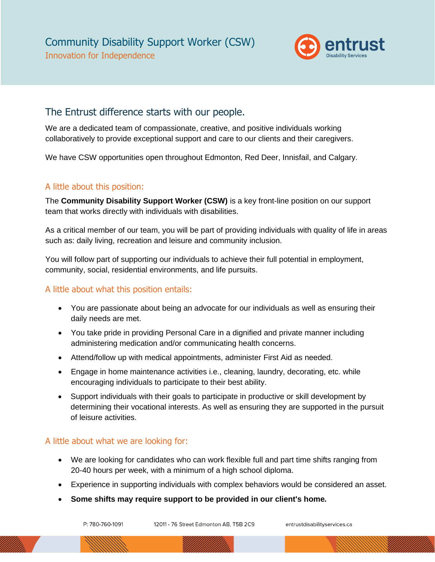

## The Entrust difference starts with our people.

We are a dedicated team of compassionate, creative, and positive individuals working collaboratively to provide exceptional support and care to our clients and their caregivers.

We have CSW opportunities open throughout Edmonton, Red Deer, Innisfail, and Calgary.

#### A little about this position:

The **Community Disability Support Worker (CSW)** is a key front-line position on our support team that works directly with individuals with disabilities.

As a critical member of our team, you will be part of providing individuals with quality of life in areas such as: daily living, recreation and leisure and community inclusion.

You will follow part of supporting our individuals to achieve their full potential in employment, community, social, residential environments, and life pursuits.

### A little about what this position entails:

- You are passionate about being an advocate for our individuals as well as ensuring their daily needs are met.
- You take pride in providing Personal Care in a dignified and private manner including administering medication and/or communicating health concerns.
- Attend/follow up with medical appointments, administer First Aid as needed.
- Engage in home maintenance activities i.e., cleaning, laundry, decorating, etc. while encouraging individuals to participate to their best ability.
- Support individuals with their goals to participate in productive or skill development by determining their vocational interests. As well as ensuring they are supported in the pursuit of leisure activities.

### A little about what we are looking for:

- We are looking for candidates who can work flexible full and part time shifts ranging from 20-40 hours per week, with a minimum of a high school diploma.
- Experience in supporting individuals with complex behaviors would be considered an asset.
- **Some shifts may require support to be provided in our client's home***.*

12011 - 76 Street Edmonton AB, T5B 2C9

entrustdisabilityservices.ca